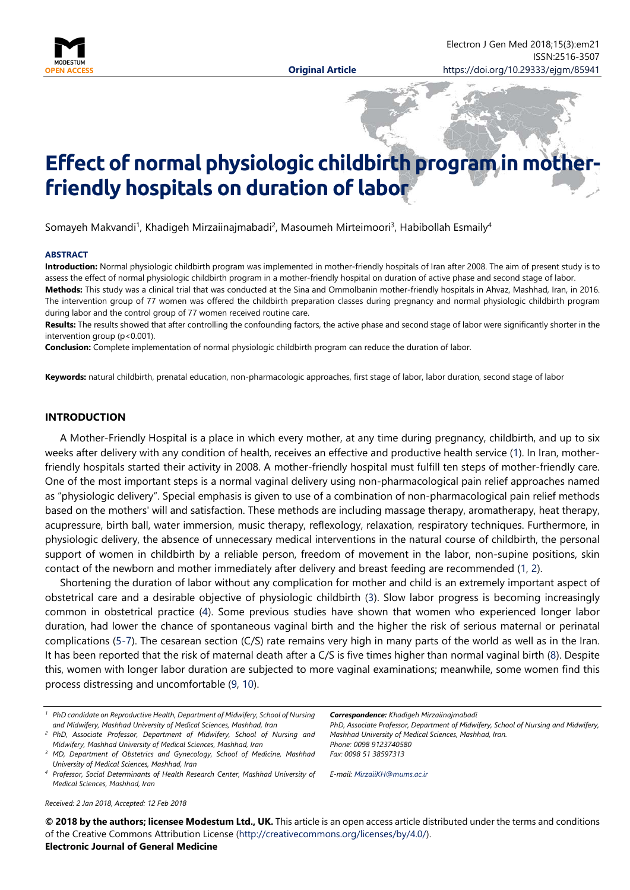

# Effect of normal physiologic childbirth program in mot **friendly hospitals on duration of labor**

Somayeh Makvandi<sup>1</sup>, Khadigeh Mirzaiinajmabadi<sup>2</sup>, Masoumeh Mirteimoori<sup>3</sup>, Habibollah Esmaily<sup>4</sup>

#### **ABSTRACT**

**Introduction:** Normal physiologic childbirth program was implemented in mother-friendly hospitals of Iran after 2008. The aim of present study is to assess the effect of normal physiologic childbirth program in a mother-friendly hospital on duration of active phase and second stage of labor. **Methods:** This study was a clinical trial that was conducted at the Sina and Ommolbanin mother-friendly hospitals in Ahvaz, Mashhad, Iran, in 2016. The intervention group of 77 women was offered the childbirth preparation classes during pregnancy and normal physiologic childbirth program

during labor and the control group of 77 women received routine care. **Results:** The results showed that after controlling the confounding factors, the active phase and second stage of labor were significantly shorter in the intervention group (p<0.001).

**Conclusion:** Complete implementation of normal physiologic childbirth program can reduce the duration of labor.

**Keywords:** natural childbirth, prenatal education, non-pharmacologic approaches, first stage of labor, labor duration, second stage of labor

## **INTRODUCTION**

A Mother-Friendly Hospital is a place in which every mother, at any time during pregnancy, childbirth, and up to six weeks after delivery with any condition of health, receives an effective and productive health service [\(1\)](#page-4-0). In Iran, motherfriendly hospitals started their activity in 2008. A mother-friendly hospital must fulfill ten steps of mother-friendly care. One of the most important steps is a normal vaginal delivery using non-pharmacological pain relief approaches named as "physiologic delivery". Special emphasis is given to use of a combination of non-pharmacological pain relief methods based on the mothers' will and satisfaction. These methods are including massage therapy, aromatherapy, heat therapy, acupressure, birth ball, water immersion, music therapy, reflexology, relaxation, respiratory techniques. Furthermore, in physiologic delivery, the absence of unnecessary medical interventions in the natural course of childbirth, the personal support of women in childbirth by a reliable person, freedom of movement in the labor, non-supine positions, skin contact of the newborn and mother immediately after delivery and breast feeding are recommended [\(1,](#page-4-0) [2\)](#page-4-1).

Shortening the duration of labor without any complication for mother and child is an extremely important aspect of obstetrical care and a desirable objective of physiologic childbirth [\(3\)](#page-4-2). Slow labor progress is becoming increasingly common in obstetrical practice [\(4\)](#page-4-3). Some previous studies have shown that women who experienced longer labor duration, had lower the chance of spontaneous vaginal birth and the higher the risk of serious maternal or perinatal complications [\(5-7\)](#page-4-4). The cesarean section (C/S) rate remains very high in many parts of the world as well as in the Iran. It has been reported that the risk of maternal death after a C/S is five times higher than normal vaginal birth [\(8\)](#page-5-0). Despite this, women with longer labor duration are subjected to more vaginal examinations; meanwhile, some women find this process distressing and uncomfortable [\(9,](#page-5-1) [10\)](#page-5-2).

*Correspondence: Khadigeh Mirzaiinajmabadi*

*PhD, Associate Professor, Department of Midwifery, School of Nursing and Midwifery, Mashhad University of Medical Sciences, Mashhad, Iran. Phone: 0098 9123740580 Fax: 0098 51 38597313*

*E-mail: [MirzaiiKH@mums.ac.ir](mailto:MirzaiiKH@mums.ac.ir)*

*Received: 2 Jan 2018, Accepted: 12 Feb 2018*

**© 2018 by the authors; licensee Modestum Ltd., UK.** This article is an open access article distributed under the terms and conditions of the Creative Commons Attribution License [\(http://creativecommons.org/licenses/by/4.0/\)](http://creativecommons.org/licenses/by/4.0/).

## **Electronic Journal of General Medicine**

*<sup>1</sup> PhD candidate on Reproductive Health, Department of Midwifery, School of Nursing and Midwifery, Mashhad University of Medical Sciences, Mashhad, Iran*

*<sup>2</sup> PhD, Associate Professor, Department of Midwifery, School of Nursing and Midwifery, Mashhad University of Medical Sciences, Mashhad, Iran*

*<sup>3</sup> MD, Department of Obstetrics and Gynecology, School of Medicine, Mashhad University of Medical Sciences, Mashhad, Iran*

*<sup>4</sup> Professor, Social Determinants of Health Research Center, Mashhad University of Medical Sciences, Mashhad, Iran*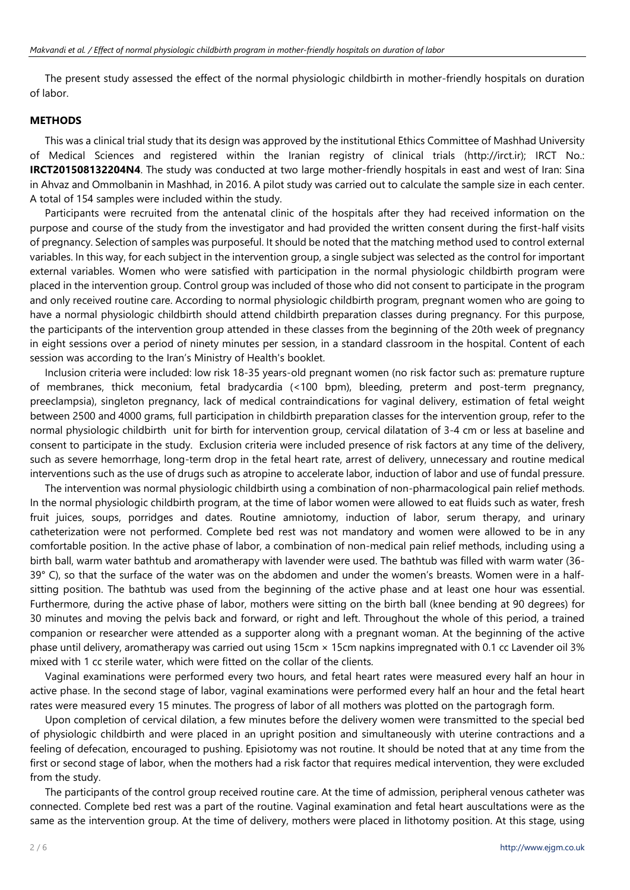The present study assessed the effect of the normal physiologic childbirth in mother-friendly hospitals on duration of labor.

## **METHODS**

This was a clinical trial study that its design was approved by the institutional Ethics Committee of Mashhad University of Medical Sciences and registered within the Iranian registry of clinical trials (http://irct.ir); IRCT No.: **IRCT201508132204N4**. The study was conducted at two large mother-friendly hospitals in east and west of Iran: Sina in Ahvaz and Ommolbanin in Mashhad, in 2016. A pilot study was carried out to calculate the sample size in each center. A total of 154 samples were included within the study.

Participants were recruited from the antenatal clinic of the hospitals after they had received information on the purpose and course of the study from the investigator and had provided the written consent during the first-half visits of pregnancy. Selection of samples was purposeful. It should be noted that the matching method used to control external variables. In this way, for each subject in the intervention group, a single subject was selected as the control for important external variables. Women who were satisfied with participation in the normal physiologic childbirth program were placed in the intervention group. Control group was included of those who did not consent to participate in the program and only received routine care. According to normal physiologic childbirth program, pregnant women who are going to have a normal physiologic childbirth should attend childbirth preparation classes during pregnancy. For this purpose, the participants of the intervention group attended in these classes from the beginning of the 20th week of pregnancy in eight sessions over a period of ninety minutes per session, in a standard classroom in the hospital. Content of each session was according to the Iran's Ministry of Health's booklet.

Inclusion criteria were included: low risk 18-35 years-old pregnant women (no risk factor such as: premature rupture of membranes, thick meconium, fetal bradycardia (<100 bpm), bleeding, preterm and post-term pregnancy, preeclampsia), singleton pregnancy, lack of medical contraindications for vaginal delivery, estimation of fetal weight between 2500 and 4000 grams, full participation in childbirth preparation classes for the intervention group, refer to the normal physiologic childbirth unit for birth for intervention group, cervical dilatation of 3-4 cm or less at baseline and consent to participate in the study. Exclusion criteria were included presence of risk factors at any time of the delivery, such as severe hemorrhage, long-term drop in the fetal heart rate, arrest of delivery, unnecessary and routine medical interventions such as the use of drugs such as atropine to accelerate labor, induction of labor and use of fundal pressure.

The intervention was normal physiologic childbirth using a combination of non-pharmacological pain relief methods. In the normal physiologic childbirth program, at the time of labor women were allowed to eat fluids such as water, fresh fruit juices, soups, porridges and dates. Routine amniotomy, induction of labor, serum therapy, and urinary catheterization were not performed. Complete bed rest was not mandatory and women were allowed to be in any comfortable position. In the active phase of labor, a combination of non-medical pain relief methods, including using a birth ball, warm water bathtub and aromatherapy with lavender were used. The bathtub was filled with warm water (36- 39° C), so that the surface of the water was on the abdomen and under the women's breasts. Women were in a halfsitting position. The bathtub was used from the beginning of the active phase and at least one hour was essential. Furthermore, during the active phase of labor, mothers were sitting on the birth ball (knee bending at 90 degrees) for 30 minutes and moving the pelvis back and forward, or right and left. Throughout the whole of this period, a trained companion or researcher were attended as a supporter along with a pregnant woman. At the beginning of the active phase until delivery, aromatherapy was carried out using 15cm × 15cm napkins impregnated with 0.1 cc Lavender oil 3% mixed with 1 cc sterile water, which were fitted on the collar of the clients.

Vaginal examinations were performed every two hours, and fetal heart rates were measured every half an hour in active phase. In the second stage of labor, vaginal examinations were performed every half an hour and the fetal heart rates were measured every 15 minutes. The progress of labor of all mothers was plotted on the partogragh form.

Upon completion of cervical dilation, a few minutes before the delivery women were transmitted to the special bed of physiologic childbirth and were placed in an upright position and simultaneously with uterine contractions and a feeling of defecation, encouraged to pushing. Episiotomy was not routine. It should be noted that at any time from the first or second stage of labor, when the mothers had a risk factor that requires medical intervention, they were excluded from the study.

The participants of the control group received routine care. At the time of admission, peripheral venous catheter was connected. Complete bed rest was a part of the routine. Vaginal examination and fetal heart auscultations were as the same as the intervention group. At the time of delivery, mothers were placed in lithotomy position. At this stage, using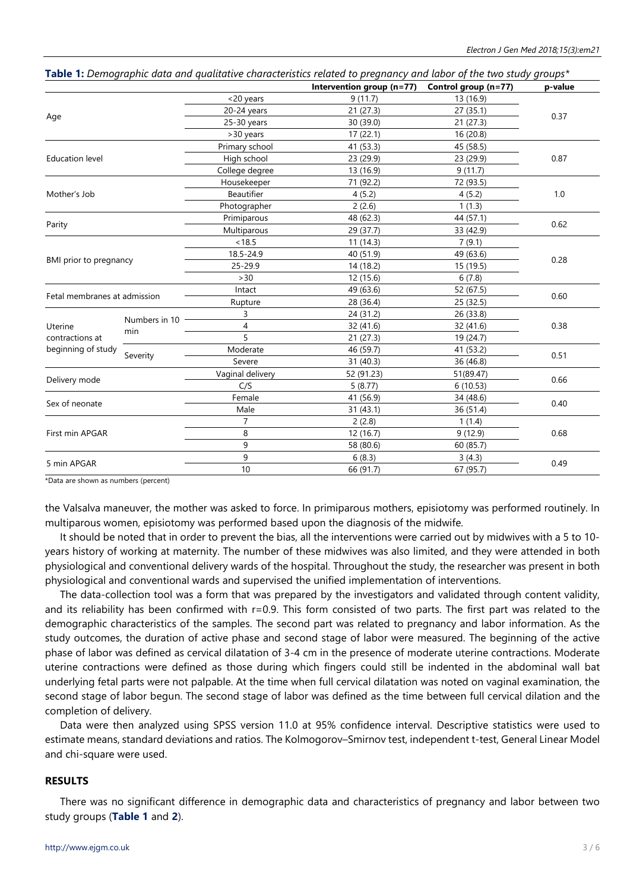|                              |                      |                            | <b>Table 1:</b> Demographic adia and qualitative characteristics related to pregnancy and labor of the two study groups<br>Intervention group (n=77) | Control group (n=77) | p-value |  |
|------------------------------|----------------------|----------------------------|------------------------------------------------------------------------------------------------------------------------------------------------------|----------------------|---------|--|
| Age                          |                      | <20 years                  | 9(11.7)                                                                                                                                              | 13 (16.9)            | 0.37    |  |
|                              |                      | $20-24$ years              | 21 (27.3)                                                                                                                                            | 27(35.1)             |         |  |
|                              |                      | $25-30$ years              | 30 (39.0)                                                                                                                                            | 21(27.3)             |         |  |
|                              |                      | >30 years                  | 17(22.1)                                                                                                                                             | 16 (20.8)            |         |  |
|                              |                      | Primary school             | 41 (53.3)                                                                                                                                            | 45 (58.5)            |         |  |
| <b>Education level</b>       |                      | High school                | 23 (29.9)                                                                                                                                            | 23 (29.9)            | 0.87    |  |
|                              |                      | College degree             | 13 (16.9)                                                                                                                                            | 9(11.7)              |         |  |
|                              |                      | Housekeeper                | 71 (92.2)                                                                                                                                            | 72 (93.5)            |         |  |
| Mother's Job                 |                      | Beautifier                 | 4(5.2)                                                                                                                                               | 4(5.2)               | 1.0     |  |
|                              |                      | Photographer               | 2(2.6)                                                                                                                                               | 1(1.3)               |         |  |
|                              |                      | Primiparous                | 48 (62.3)                                                                                                                                            | 44 (57.1)            |         |  |
| Parity                       |                      | Multiparous                | 29 (37.7)                                                                                                                                            | 33 (42.9)            | 0.62    |  |
|                              |                      | < 18.5                     | 11(14.3)                                                                                                                                             | 7(9.1)               |         |  |
|                              |                      | 18.5-24.9                  | 40 (51.9)                                                                                                                                            | 49 (63.6)            | 0.28    |  |
| BMI prior to pregnancy       |                      | 25-29.9                    | 14 (18.2)                                                                                                                                            | 15 (19.5)            |         |  |
|                              |                      | $>30$                      | 12 (15.6)                                                                                                                                            | 6(7.8)               |         |  |
| Fetal membranes at admission |                      | Intact                     | 49 (63.6)                                                                                                                                            | 52 (67.5)            |         |  |
|                              |                      | Rupture                    | 28 (36.4)                                                                                                                                            | 25 (32.5)            | 0.60    |  |
|                              |                      | 3                          | 24 (31.2)                                                                                                                                            | 26 (33.8)            |         |  |
| Uterine                      | Numbers in 10<br>min | 4                          | 32 (41.6)                                                                                                                                            | 32 (41.6)            | 0.38    |  |
| contractions at              |                      | 5                          | 21(27.3)                                                                                                                                             | 19 (24.7)            |         |  |
| beginning of study           |                      | Moderate                   | 46 (59.7)                                                                                                                                            | 41 (53.2)            |         |  |
|                              | Severity             | Severe                     | 31 (40.3)                                                                                                                                            | 36 (46.8)            | 0.51    |  |
|                              |                      | Vaginal delivery           | 52 (91.23)                                                                                                                                           | 51(89.47)            |         |  |
| Delivery mode                |                      | C/S<br>5(8.77)<br>6(10.53) |                                                                                                                                                      |                      | 0.66    |  |
| Sex of neonate               |                      | Female                     | 41 (56.9)                                                                                                                                            | 34 (48.6)            |         |  |
|                              |                      | Male                       | 31 (43.1)                                                                                                                                            | 36 (51.4)            | 0.40    |  |
| First min APGAR              |                      | $\overline{7}$             | 2(2.8)                                                                                                                                               | 1(1.4)               |         |  |
|                              |                      | 8                          |                                                                                                                                                      | 9(12.9)              | 0.68    |  |
|                              |                      | 9                          | 58 (80.6)                                                                                                                                            | 60 (85.7)            |         |  |
|                              |                      | 9                          | 6(8.3)                                                                                                                                               | 3(4.3)               | 0.49    |  |
| 5 min APGAR                  |                      | 10                         | 66 (91.7)                                                                                                                                            | 67 (95.7)            |         |  |

**Table 1:** *Demographic data and qualitative characteristics related to pregnancy and labor of the two study groups\**

\*Data are shown as numbers (percent)

the Valsalva maneuver, the mother was asked to force. In primiparous mothers, episiotomy was performed routinely. In multiparous women, episiotomy was performed based upon the diagnosis of the midwife.

It should be noted that in order to prevent the bias, all the interventions were carried out by midwives with a 5 to 10 years history of working at maternity. The number of these midwives was also limited, and they were attended in both physiological and conventional delivery wards of the hospital. Throughout the study, the researcher was present in both physiological and conventional wards and supervised the unified implementation of interventions.

The data-collection tool was a form that was prepared by the investigators and validated through content validity, and its reliability has been confirmed with r=0.9. This form consisted of two parts. The first part was related to the demographic characteristics of the samples. The second part was related to pregnancy and labor information. As the study outcomes, the duration of active phase and second stage of labor were measured. The beginning of the active phase of labor was defined as cervical dilatation of 3-4 cm in the presence of moderate uterine contractions. Moderate uterine contractions were defined as those during which fingers could still be indented in the abdominal wall bat underlying fetal parts were not palpable. At the time when full cervical dilatation was noted on vaginal examination, the second stage of labor begun. The second stage of labor was defined as the time between full cervical dilation and the completion of delivery.

Data were then analyzed using SPSS version 11.0 at 95% confidence interval. Descriptive statistics were used to estimate means, standard deviations and ratios. The Kolmogorov–Smirnov test, independent t-test, General Linear Model and chi-square were used.

## **RESULTS**

There was no significant difference in demographic data and characteristics of pregnancy and labor between two study groups (**Table 1** and **2**).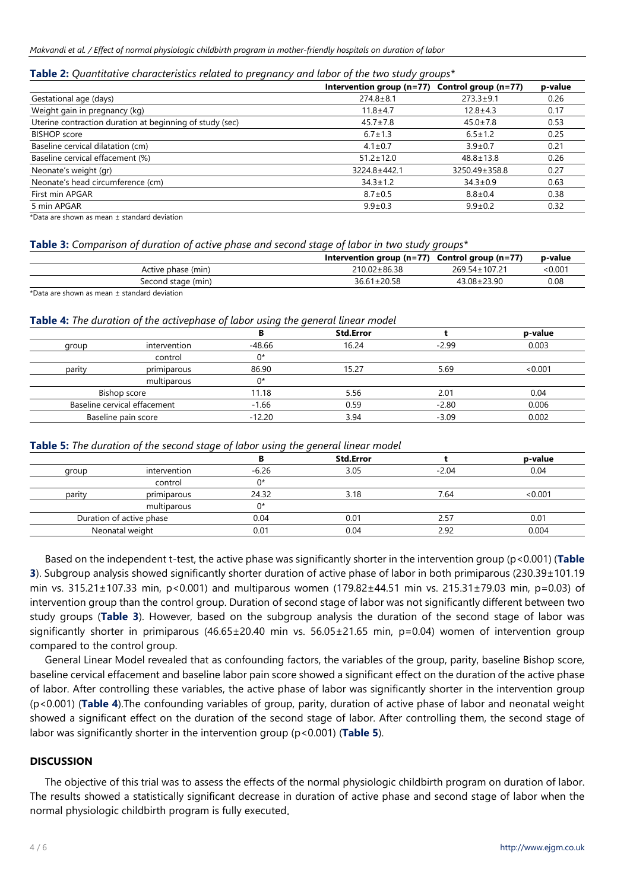## **Table 2:** *Quantitative characteristics related to pregnancy and labor of the two study groups\**

|                                                            | Intervention group $(n=77)$ | Control group (n=77) | p-value |
|------------------------------------------------------------|-----------------------------|----------------------|---------|
| Gestational age (days)                                     | $274.8 \pm 8.1$             | $273.3 \pm 9.1$      | 0.26    |
| Weight gain in pregnancy (kg)                              | $11.8 + 4.7$                | 12.8±4.3             | 0.17    |
| Uterine contraction duration at beginning of study (sec)   | $45.7 \pm 7.8$              | $45.0 \pm 7.8$       | 0.53    |
| <b>BISHOP</b> score                                        | $6.7 \pm 1.3$               | $6.5 \pm 1.2$        | 0.25    |
| Baseline cervical dilatation (cm)                          | $4.1 \pm 0.7$               | $3.9 \pm 0.7$        | 0.21    |
| Baseline cervical effacement (%)                           | $51.2 \pm 12.0$             | $48.8 \pm 13.8$      | 0.26    |
| Neonate's weight (gr)                                      | 3224.8±442.1                | 3250.49±358.8        | 0.27    |
| Neonate's head circumference (cm)                          | $34.3 \pm 1.2$              | $34.3 \pm 0.9$       | 0.63    |
| First min APGAR                                            | $8.7 \pm 0.5$               | $8.8 \pm 0.4$        | 0.38    |
| 5 min APGAR                                                | $9.9 \pm 0.3$               | $9.9 \pm 0.2$        | 0.32    |
| ⊕lista e una alcantra de para a una alcantinata de destaca |                             |                      |         |

\*Data are shown as mean ± standard deviation

## **Table 3:** *Comparison of duration of active phase and second stage of labor in two study groups\**

|                                                                                                                      | Intervention group $(n=77)$ Control group $(n=77)$ |                 | p-value |
|----------------------------------------------------------------------------------------------------------------------|----------------------------------------------------|-----------------|---------|
| Active phase (min)                                                                                                   | 210.02±86.38                                       | 269.54 ± 107.21 | < 0.001 |
| Second stage (min)                                                                                                   | $36.61 \pm 20.58$                                  | 43.08±23.90     | 0.08    |
| <b>APPEARED CARDINAL COMMUNICATION CONTINUES INTO A REPORT OF A STATE OF A REPORT OF A STATE OF A REPORT OF A ST</b> |                                                    |                 |         |

Data are shown as mean  $\pm$  standard deviation

# **Table 4:** *The duration of the activephase of labor using the general linear model*

|        |                              |        | <b>Std.Error</b> |         | p-value |
|--------|------------------------------|--------|------------------|---------|---------|
| group  | intervention                 | -48.66 | 16.24            | $-2.99$ | 0.003   |
|        | control                      | ∩*     |                  |         |         |
| parity | primiparous                  | 86.90  | 15.27            | 5.69    | <0.001  |
|        | multiparous                  | ∩*     |                  |         |         |
|        | Bishop score                 |        | 5.56             | 2.01    | 0.04    |
|        | Baseline cervical effacement |        | 0.59             | $-2.80$ | 0.006   |
|        | Baseline pain score          |        | 3.94             | $-3.09$ | 0.002   |

## **Table 5:** *The duration of the second stage of labor using the general linear model*

|        |                                |         | <b>Std.Error</b> |         | p-value |
|--------|--------------------------------|---------|------------------|---------|---------|
| group  | intervention                   | $-6.26$ | 3.05             | $-2.04$ | 0.04    |
|        | control                        | ∩∗      |                  |         |         |
| parity | $\cdot$ $\cdot$<br>primiparous | 24.32   | 3.18             | 7.64    | <0.001  |
|        | multiparous                    | ባ*      |                  |         |         |
|        | Duration of active phase       |         | 0.01             | 2.57    | 0.01    |
|        | Neonatal weight                |         | 0.04             | 2.92    | 0.004   |

Based on the independent t-test, the active phase was significantly shorter in the intervention group (p<0.001) (**Table 3**). Subgroup analysis showed significantly shorter duration of active phase of labor in both primiparous (230.39±101.19 min vs. 315.21±107.33 min, p<0.001) and multiparous women (179.82±44.51 min vs. 215.31±79.03 min, p=0.03) of intervention group than the control group. Duration of second stage of labor was not significantly different between two study groups (**Table 3**). However, based on the subgroup analysis the duration of the second stage of labor was significantly shorter in primiparous (46.65±20.40 min vs. 56.05±21.65 min, p=0.04) women of intervention group compared to the control group.

General Linear Model revealed that as confounding factors, the variables of the group, parity, baseline Bishop score, baseline cervical effacement and baseline labor pain score showed a significant effect on the duration of the active phase of labor. After controlling these variables, the active phase of labor was significantly shorter in the intervention group (p<0.001) (**Table 4**).The confounding variables of group, parity, duration of active phase of labor and neonatal weight showed a significant effect on the duration of the second stage of labor. After controlling them, the second stage of labor was significantly shorter in the intervention group (p<0.001) (**Table 5**).

## **DISCUSSION**

The objective of this trial was to assess the effects of the normal physiologic childbirth program on duration of labor. The results showed a statistically significant decrease in duration of active phase and second stage of labor when the normal physiologic childbirth program is fully executed.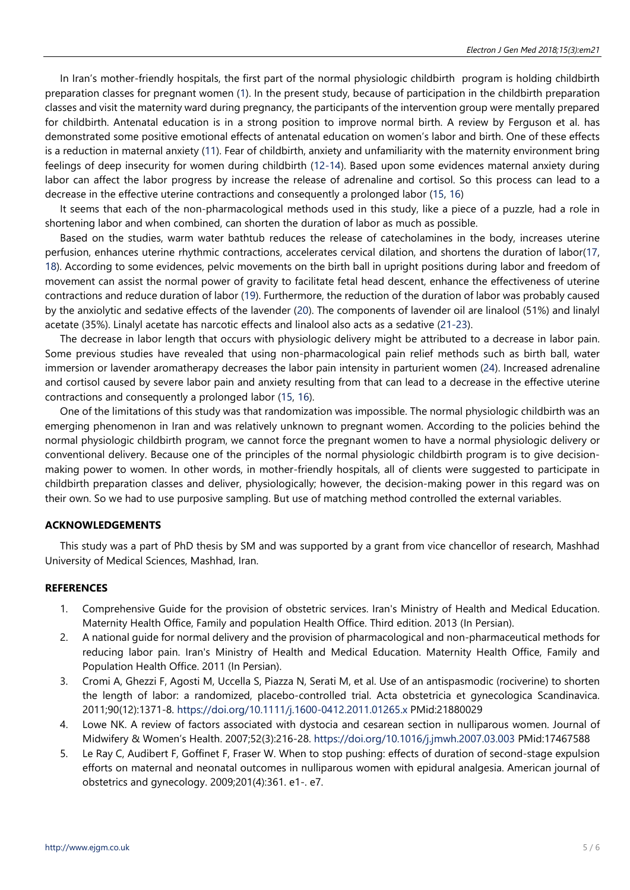In Iran's mother-friendly hospitals, the first part of the normal physiologic childbirth program is holding childbirth preparation classes for pregnant women [\(1\)](#page-4-0). In the present study, because of participation in the childbirth preparation classes and visit the maternity ward during pregnancy, the participants of the intervention group were mentally prepared for childbirth. Antenatal education is in a strong position to improve normal birth. A review by Ferguson et al. has demonstrated some positive emotional effects of antenatal education on women's labor and birth. One of these effects is a reduction in maternal anxiety [\(11\)](#page-5-3). Fear of childbirth, anxiety and unfamiliarity with the maternity environment bring feelings of deep insecurity for women during childbirth [\(12-14\)](#page-5-4). Based upon some evidences maternal anxiety during labor can affect the labor progress by increase the release of adrenaline and cortisol. So this process can lead to a decrease in the effective uterine contractions and consequently a prolonged labor [\(15,](#page-5-5) [16\)](#page-5-6)

It seems that each of the non-pharmacological methods used in this study, like a piece of a puzzle, had a role in shortening labor and when combined, can shorten the duration of labor as much as possible.

Based on the studies, warm water bathtub reduces the release of catecholamines in the body, increases uterine perfusion, enhances uterine rhythmic contractions, accelerates cervical dilation, and shortens the duration of labor[\(17,](#page-5-7)  [18\)](#page-5-8). According to some evidences, pelvic movements on the birth ball in upright positions during labor and freedom of movement can assist the normal power of gravity to facilitate fetal head descent, enhance the effectiveness of uterine contractions and reduce duration of labor [\(19\)](#page-5-9). Furthermore, the reduction of the duration of labor was probably caused by the anxiolytic and sedative effects of the lavender [\(20\)](#page-5-10). The components of lavender oil are linalool (51%) and linalyl acetate (35%). Linalyl acetate has narcotic effects and linalool also acts as a sedative [\(21-23\)](#page-5-11).

The decrease in labor length that occurs with physiologic delivery might be attributed to a decrease in labor pain. Some previous studies have revealed that using non-pharmacological pain relief methods such as birth ball, water immersion or lavender aromatherapy decreases the labor pain intensity in parturient women [\(24\)](#page-5-12). Increased adrenaline and cortisol caused by severe labor pain and anxiety resulting from that can lead to a decrease in the effective uterine contractions and consequently a prolonged labor [\(15,](#page-5-5) [16\)](#page-5-6).

One of the limitations of this study was that randomization was impossible. The normal physiologic childbirth was an emerging phenomenon in Iran and was relatively unknown to pregnant women. According to the policies behind the normal physiologic childbirth program, we cannot force the pregnant women to have a normal physiologic delivery or conventional delivery. Because one of the principles of the normal physiologic childbirth program is to give decisionmaking power to women. In other words, in mother-friendly hospitals, all of clients were suggested to participate in childbirth preparation classes and deliver, physiologically; however, the decision-making power in this regard was on their own. So we had to use purposive sampling. But use of matching method controlled the external variables.

## **ACKNOWLEDGEMENTS**

This study was a part of PhD thesis by SM and was supported by a grant from vice chancellor of research, Mashhad University of Medical Sciences, Mashhad, Iran.

## <span id="page-4-0"></span>**REFERENCES**

- 1. Comprehensive Guide for the provision of obstetric services. Iran's Ministry of Health and Medical Education. Maternity Health Office, Family and population Health Office. Third edition. 2013 (In Persian).
- <span id="page-4-1"></span>2. A national guide for normal delivery and the provision of pharmacological and non-pharmaceutical methods for reducing labor pain. Iran's Ministry of Health and Medical Education. Maternity Health Office, Family and Population Health Office. 2011 (In Persian).
- <span id="page-4-2"></span>3. Cromi A, Ghezzi F, Agosti M, Uccella S, Piazza N, Serati M, et al. Use of an antispasmodic (rociverine) to shorten the length of labor: a randomized, placebo-controlled trial. Acta obstetricia et gynecologica Scandinavica. 2011;90(12):1371-8. <https://doi.org/10.1111/j.1600-0412.2011.01265.x> PMid:21880029
- <span id="page-4-3"></span>4. Lowe NK. A review of factors associated with dystocia and cesarean section in nulliparous women. Journal of Midwifery & Women's Health. 2007;52(3):216-28. <https://doi.org/10.1016/j.jmwh.2007.03.003> PMid:17467588
- <span id="page-4-4"></span>5. Le Ray C, Audibert F, Goffinet F, Fraser W. When to stop pushing: effects of duration of second-stage expulsion efforts on maternal and neonatal outcomes in nulliparous women with epidural analgesia. American journal of obstetrics and gynecology. 2009;201(4):361. e1-. e7.